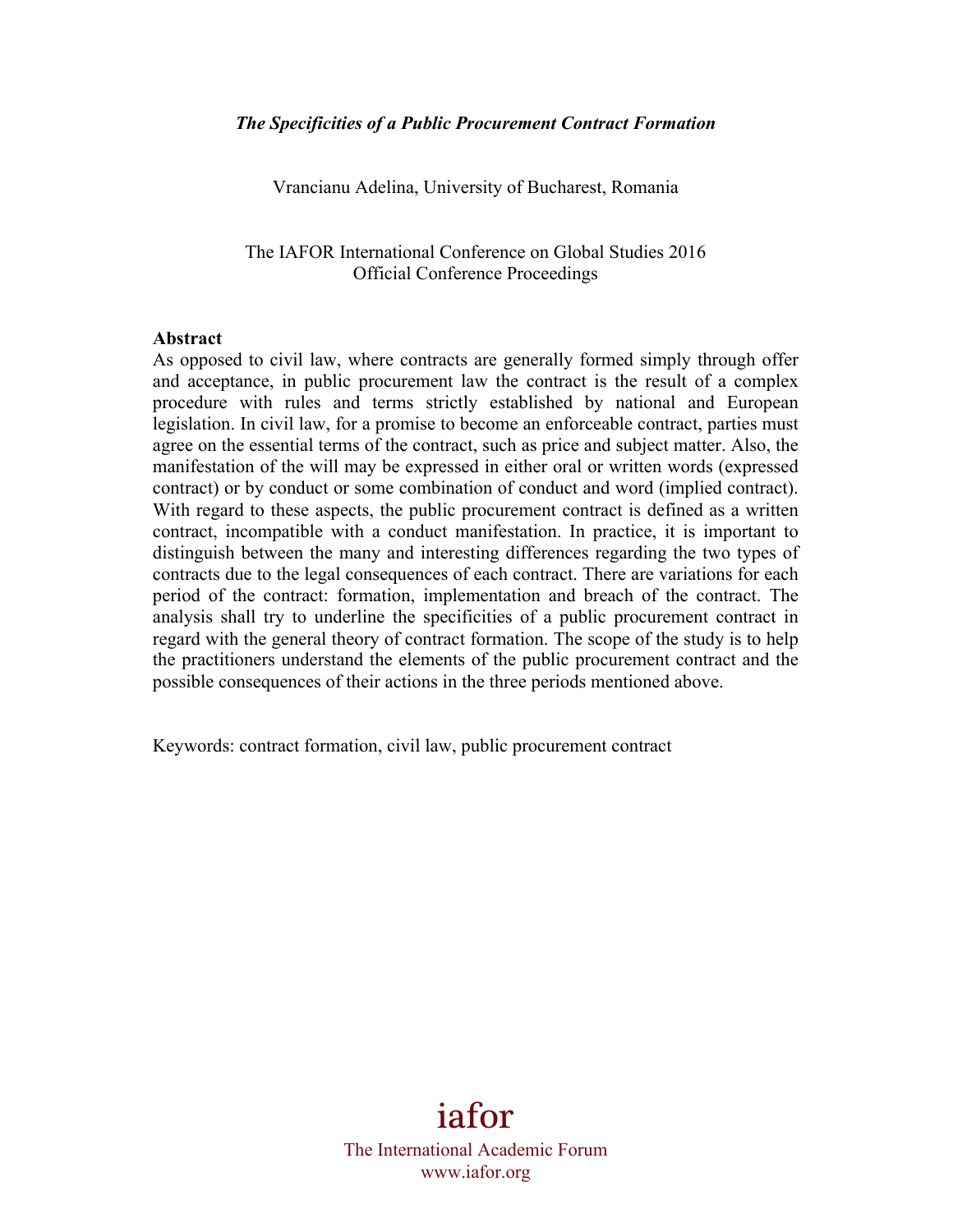Vrancianu Adelina, University of Bucharest, Romania

The IAFOR International Conference on Global Studies 2016 Official Conference Proceedings

#### **Abstract**

As opposed to civil law, where contracts are generally formed simply through offer and acceptance, in public procurement law the contract is the result of a complex procedure with rules and terms strictly established by national and European legislation. In civil law, for a promise to become an enforceable contract, parties must agree on the essential terms of the contract, such as price and subject matter. Also, the manifestation of the will may be expressed in either oral or written words (expressed contract) or by conduct or some combination of conduct and word (implied contract). With regard to these aspects, the public procurement contract is defined as a written contract, incompatible with a conduct manifestation. In practice, it is important to distinguish between the many and interesting differences regarding the two types of contracts due to the legal consequences of each contract. There are variations for each period of the contract: formation, implementation and breach of the contract. The analysis shall try to underline the specificities of a public procurement contract in regard with the general theory of contract formation. The scope of the study is to help the practitioners understand the elements of the public procurement contract and the possible consequences of their actions in the three periods mentioned above.

Keywords: contract formation, civil law, public procurement contract

iafor The International Academic Forum www.iafor.org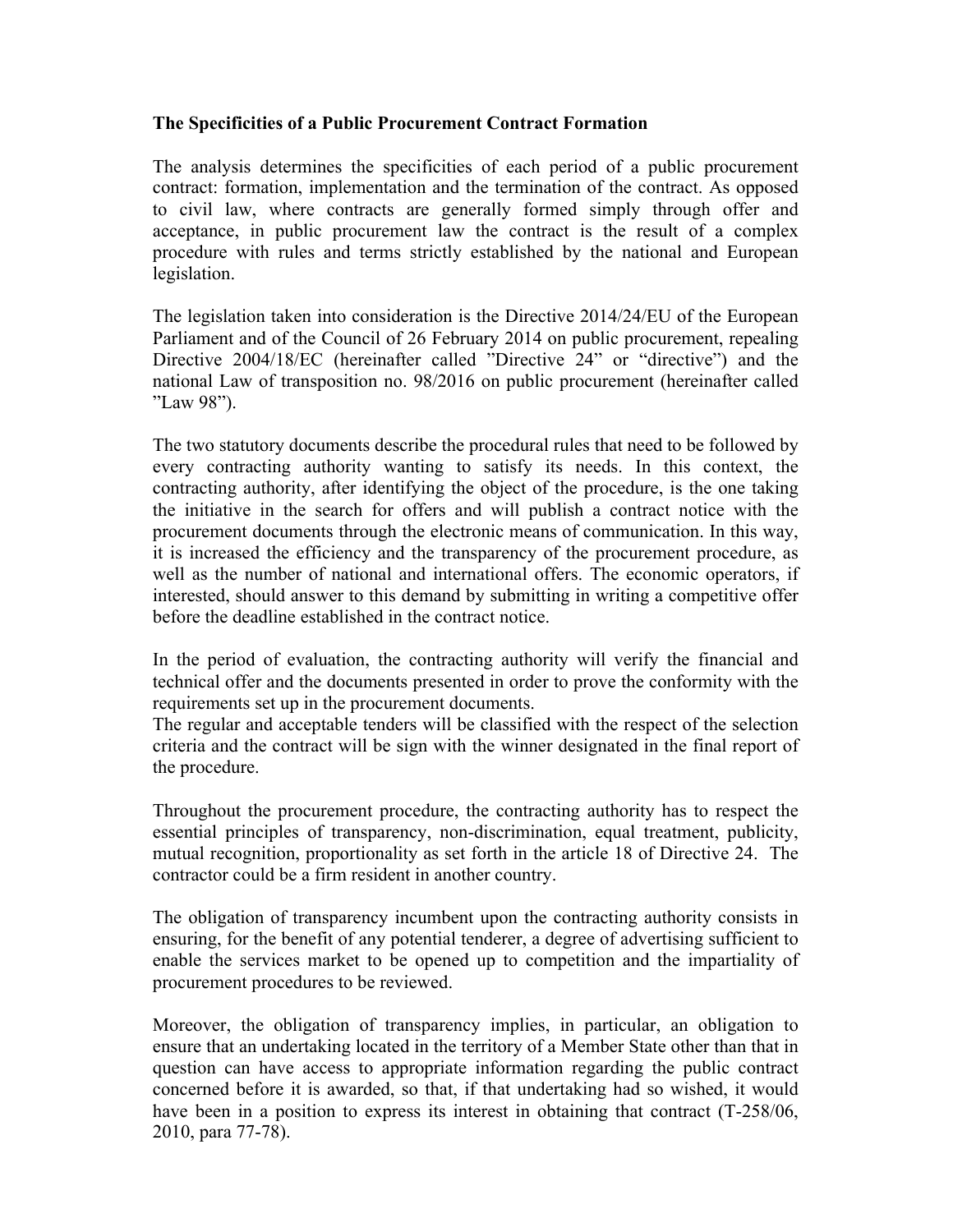### **The Specificities of a Public Procurement Contract Formation**

The analysis determines the specificities of each period of a public procurement contract: formation, implementation and the termination of the contract. As opposed to civil law, where contracts are generally formed simply through offer and acceptance, in public procurement law the contract is the result of a complex procedure with rules and terms strictly established by the national and European legislation.

The legislation taken into consideration is the Directive 2014/24/EU of the European Parliament and of the Council of 26 February 2014 on public procurement, repealing Directive 2004/18/EC (hereinafter called "Directive 24" or "directive") and the national Law of transposition no. 98/2016 on public procurement (hereinafter called "Law 98").

The two statutory documents describe the procedural rules that need to be followed by every contracting authority wanting to satisfy its needs. In this context, the contracting authority, after identifying the object of the procedure, is the one taking the initiative in the search for offers and will publish a contract notice with the procurement documents through the electronic means of communication. In this way, it is increased the efficiency and the transparency of the procurement procedure, as well as the number of national and international offers. The economic operators, if interested, should answer to this demand by submitting in writing a competitive offer before the deadline established in the contract notice.

In the period of evaluation, the contracting authority will verify the financial and technical offer and the documents presented in order to prove the conformity with the requirements set up in the procurement documents.

The regular and acceptable tenders will be classified with the respect of the selection criteria and the contract will be sign with the winner designated in the final report of the procedure.

Throughout the procurement procedure, the contracting authority has to respect the essential principles of transparency, non-discrimination, equal treatment, publicity, mutual recognition, proportionality as set forth in the article 18 of Directive 24. The contractor could be a firm resident in another country.

The obligation of transparency incumbent upon the contracting authority consists in ensuring, for the benefit of any potential tenderer, a degree of advertising sufficient to enable the services market to be opened up to competition and the impartiality of procurement procedures to be reviewed.

Moreover, the obligation of transparency implies, in particular, an obligation to ensure that an undertaking located in the territory of a Member State other than that in question can have access to appropriate information regarding the public contract concerned before it is awarded, so that, if that undertaking had so wished, it would have been in a position to express its interest in obtaining that contract (T-258/06, 2010, para 77-78).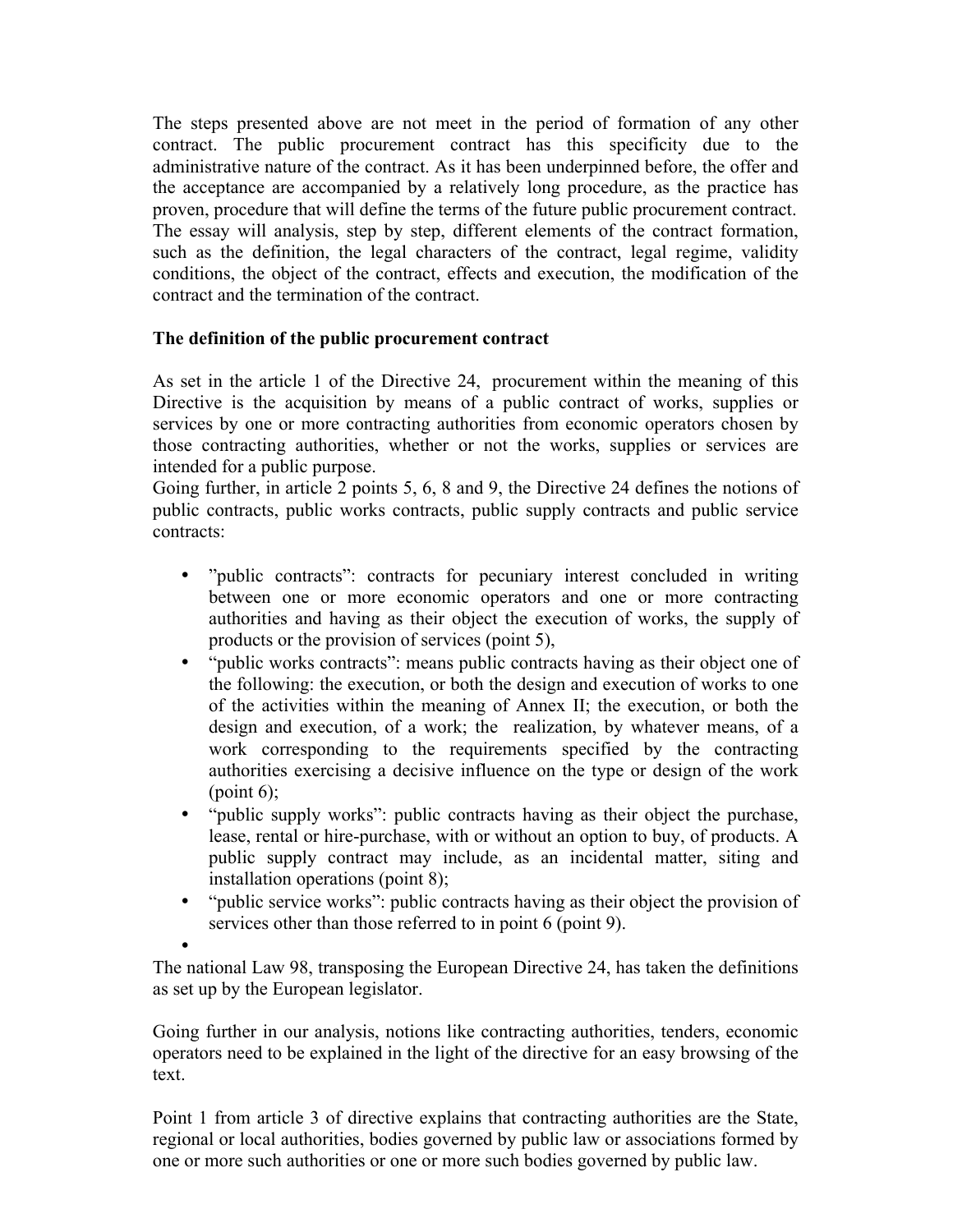The steps presented above are not meet in the period of formation of any other contract. The public procurement contract has this specificity due to the administrative nature of the contract. As it has been underpinned before, the offer and the acceptance are accompanied by a relatively long procedure, as the practice has proven, procedure that will define the terms of the future public procurement contract. The essay will analysis, step by step, different elements of the contract formation, such as the definition, the legal characters of the contract, legal regime, validity conditions, the object of the contract, effects and execution, the modification of the contract and the termination of the contract.

# **The definition of the public procurement contract**

As set in the article 1 of the Directive 24, procurement within the meaning of this Directive is the acquisition by means of a public contract of works, supplies or services by one or more contracting authorities from economic operators chosen by those contracting authorities, whether or not the works, supplies or services are intended for a public purpose.

Going further, in article 2 points 5, 6, 8 and 9, the Directive 24 defines the notions of public contracts, public works contracts, public supply contracts and public service contracts:

- "public contracts": contracts for pecuniary interest concluded in writing between one or more economic operators and one or more contracting authorities and having as their object the execution of works, the supply of products or the provision of services (point 5),
- "public works contracts": means public contracts having as their object one of the following: the execution, or both the design and execution of works to one of the activities within the meaning of Annex II; the execution, or both the design and execution, of a work; the realization, by whatever means, of a work corresponding to the requirements specified by the contracting authorities exercising a decisive influence on the type or design of the work  $\frac{\pi}{6}$ ;
- "public supply works": public contracts having as their object the purchase, lease, rental or hire-purchase, with or without an option to buy, of products. A public supply contract may include, as an incidental matter, siting and installation operations (point 8);
- "public service works": public contracts having as their object the provision of services other than those referred to in point 6 (point 9).

• The national Law 98, transposing the European Directive 24, has taken the definitions as set up by the European legislator.

Going further in our analysis, notions like contracting authorities, tenders, economic operators need to be explained in the light of the directive for an easy browsing of the text.

Point 1 from article 3 of directive explains that contracting authorities are the State, regional or local authorities, bodies governed by public law or associations formed by one or more such authorities or one or more such bodies governed by public law.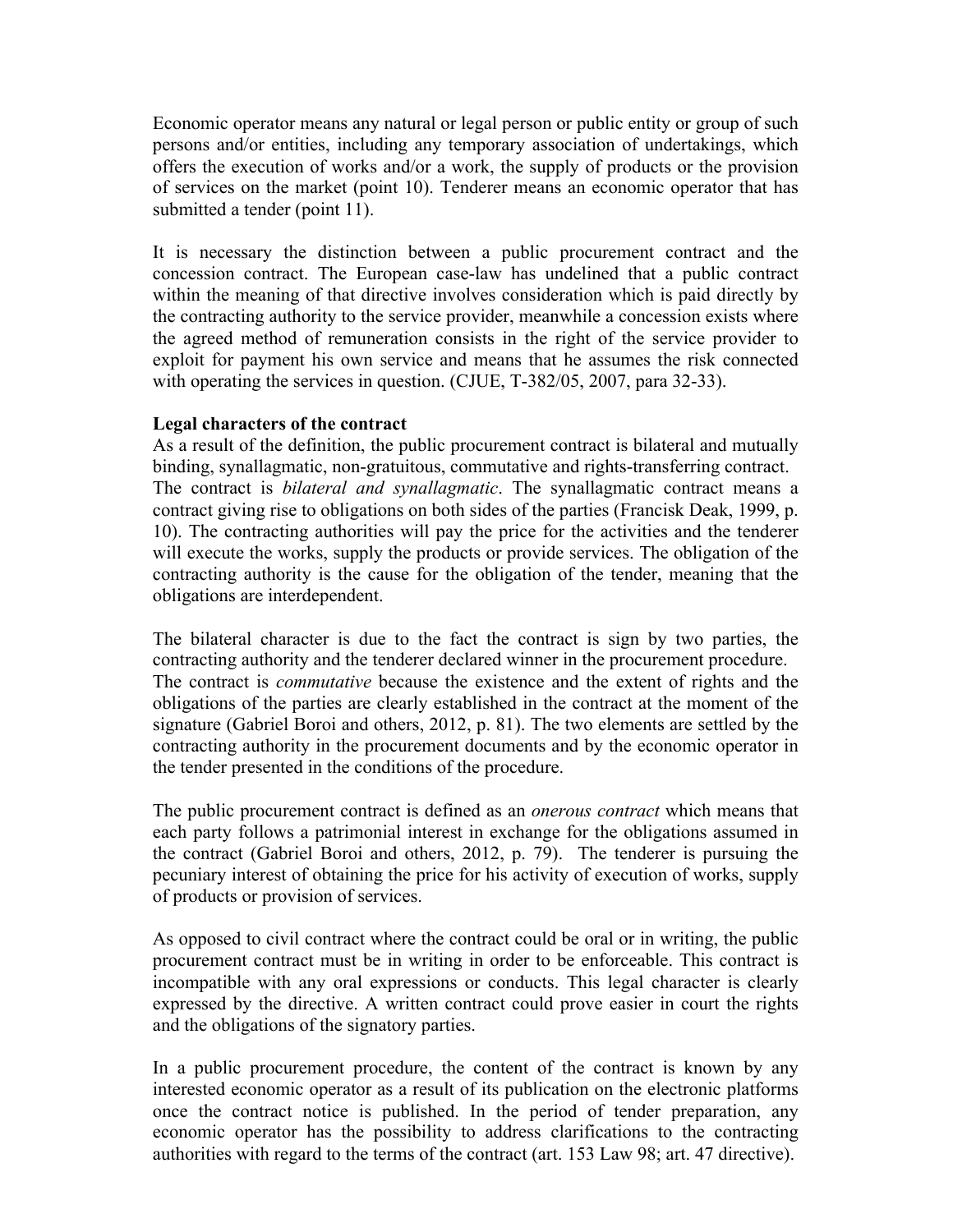Economic operator means any natural or legal person or public entity or group of such persons and/or entities, including any temporary association of undertakings, which offers the execution of works and/or a work, the supply of products or the provision of services on the market (point 10). Tenderer means an economic operator that has submitted a tender (point 11).

It is necessary the distinction between a public procurement contract and the concession contract. The European case-law has undelined that a public contract within the meaning of that directive involves consideration which is paid directly by the contracting authority to the service provider, meanwhile a concession exists where the agreed method of remuneration consists in the right of the service provider to exploit for payment his own service and means that he assumes the risk connected with operating the services in question. (CJUE, T-382/05, 2007, para 32-33).

#### **Legal characters of the contract**

As a result of the definition, the public procurement contract is bilateral and mutually binding, synallagmatic, non-gratuitous, commutative and rights-transferring contract. The contract is *bilateral and synallagmatic*. The synallagmatic contract means a contract giving rise to obligations on both sides of the parties (Francisk Deak, 1999, p. 10). The contracting authorities will pay the price for the activities and the tenderer will execute the works, supply the products or provide services. The obligation of the contracting authority is the cause for the obligation of the tender, meaning that the obligations are interdependent.

The bilateral character is due to the fact the contract is sign by two parties, the contracting authority and the tenderer declared winner in the procurement procedure. The contract is *commutative* because the existence and the extent of rights and the obligations of the parties are clearly established in the contract at the moment of the signature (Gabriel Boroi and others, 2012, p. 81). The two elements are settled by the contracting authority in the procurement documents and by the economic operator in the tender presented in the conditions of the procedure.

The public procurement contract is defined as an *onerous contract* which means that each party follows a patrimonial interest in exchange for the obligations assumed in the contract (Gabriel Boroi and others, 2012, p. 79). The tenderer is pursuing the pecuniary interest of obtaining the price for his activity of execution of works, supply of products or provision of services.

As opposed to civil contract where the contract could be oral or in writing, the public procurement contract must be in writing in order to be enforceable. This contract is incompatible with any oral expressions or conducts. This legal character is clearly expressed by the directive. A written contract could prove easier in court the rights and the obligations of the signatory parties.

In a public procurement procedure, the content of the contract is known by any interested economic operator as a result of its publication on the electronic platforms once the contract notice is published. In the period of tender preparation, any economic operator has the possibility to address clarifications to the contracting authorities with regard to the terms of the contract (art. 153 Law 98; art. 47 directive).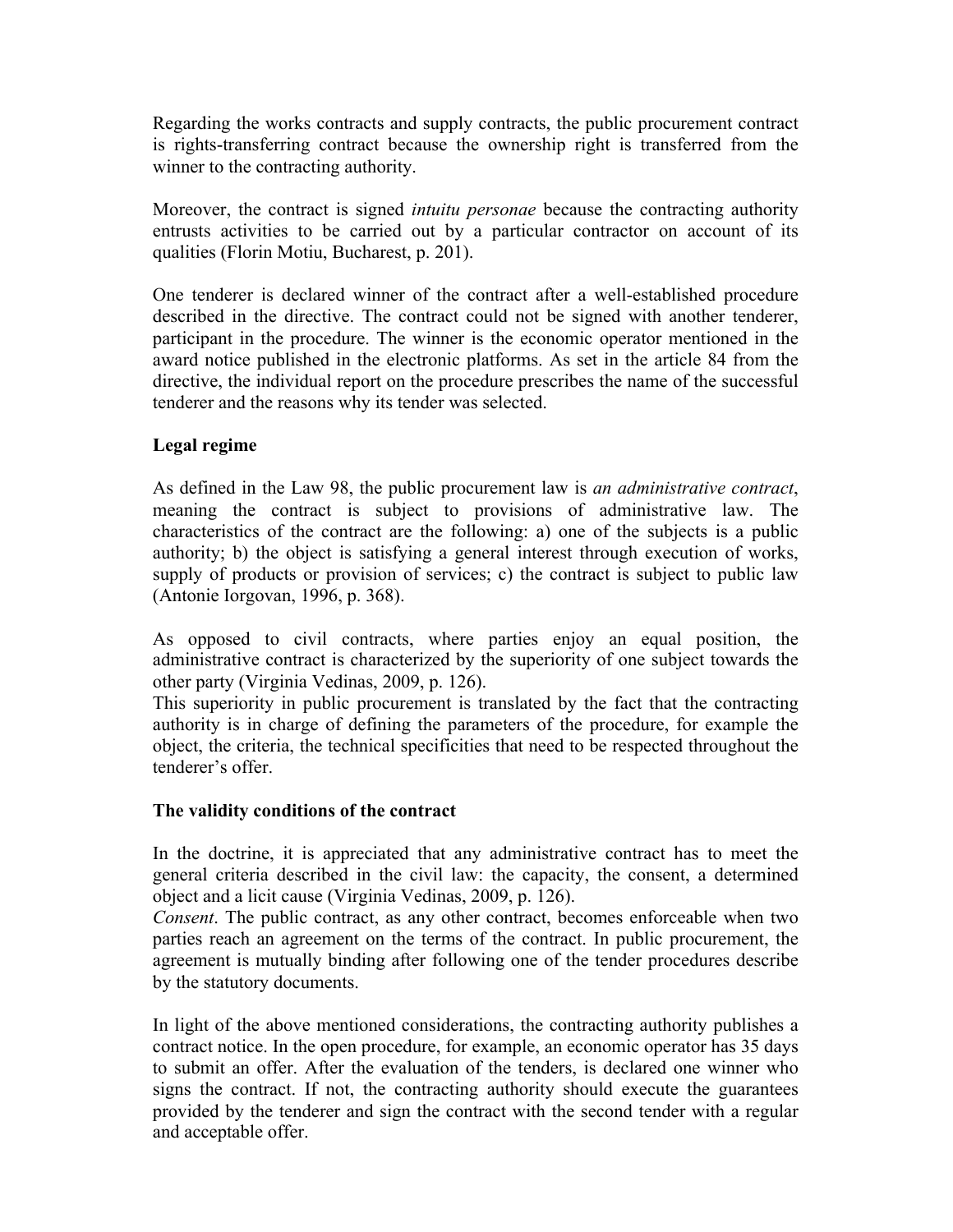Regarding the works contracts and supply contracts, the public procurement contract is rights-transferring contract because the ownership right is transferred from the winner to the contracting authority.

Moreover, the contract is signed *intuitu personae* because the contracting authority entrusts activities to be carried out by a particular contractor on account of its qualities (Florin Motiu, Bucharest, p. 201).

One tenderer is declared winner of the contract after a well-established procedure described in the directive. The contract could not be signed with another tenderer, participant in the procedure. The winner is the economic operator mentioned in the award notice published in the electronic platforms. As set in the article 84 from the directive, the individual report on the procedure prescribes the name of the successful tenderer and the reasons why its tender was selected.

# **Legal regime**

As defined in the Law 98, the public procurement law is *an administrative contract*, meaning the contract is subject to provisions of administrative law. The characteristics of the contract are the following: a) one of the subjects is a public authority; b) the object is satisfying a general interest through execution of works, supply of products or provision of services; c) the contract is subject to public law (Antonie Iorgovan, 1996, p. 368).

As opposed to civil contracts, where parties enjoy an equal position, the administrative contract is characterized by the superiority of one subject towards the other party (Virginia Vedinas, 2009, p. 126).

This superiority in public procurement is translated by the fact that the contracting authority is in charge of defining the parameters of the procedure, for example the object, the criteria, the technical specificities that need to be respected throughout the tenderer's offer.

### **The validity conditions of the contract**

In the doctrine, it is appreciated that any administrative contract has to meet the general criteria described in the civil law: the capacity, the consent, a determined object and a licit cause (Virginia Vedinas, 2009, p. 126).

*Consent*. The public contract, as any other contract, becomes enforceable when two parties reach an agreement on the terms of the contract. In public procurement, the agreement is mutually binding after following one of the tender procedures describe by the statutory documents.

In light of the above mentioned considerations, the contracting authority publishes a contract notice. In the open procedure, for example, an economic operator has 35 days to submit an offer. After the evaluation of the tenders, is declared one winner who signs the contract. If not, the contracting authority should execute the guarantees provided by the tenderer and sign the contract with the second tender with a regular and acceptable offer.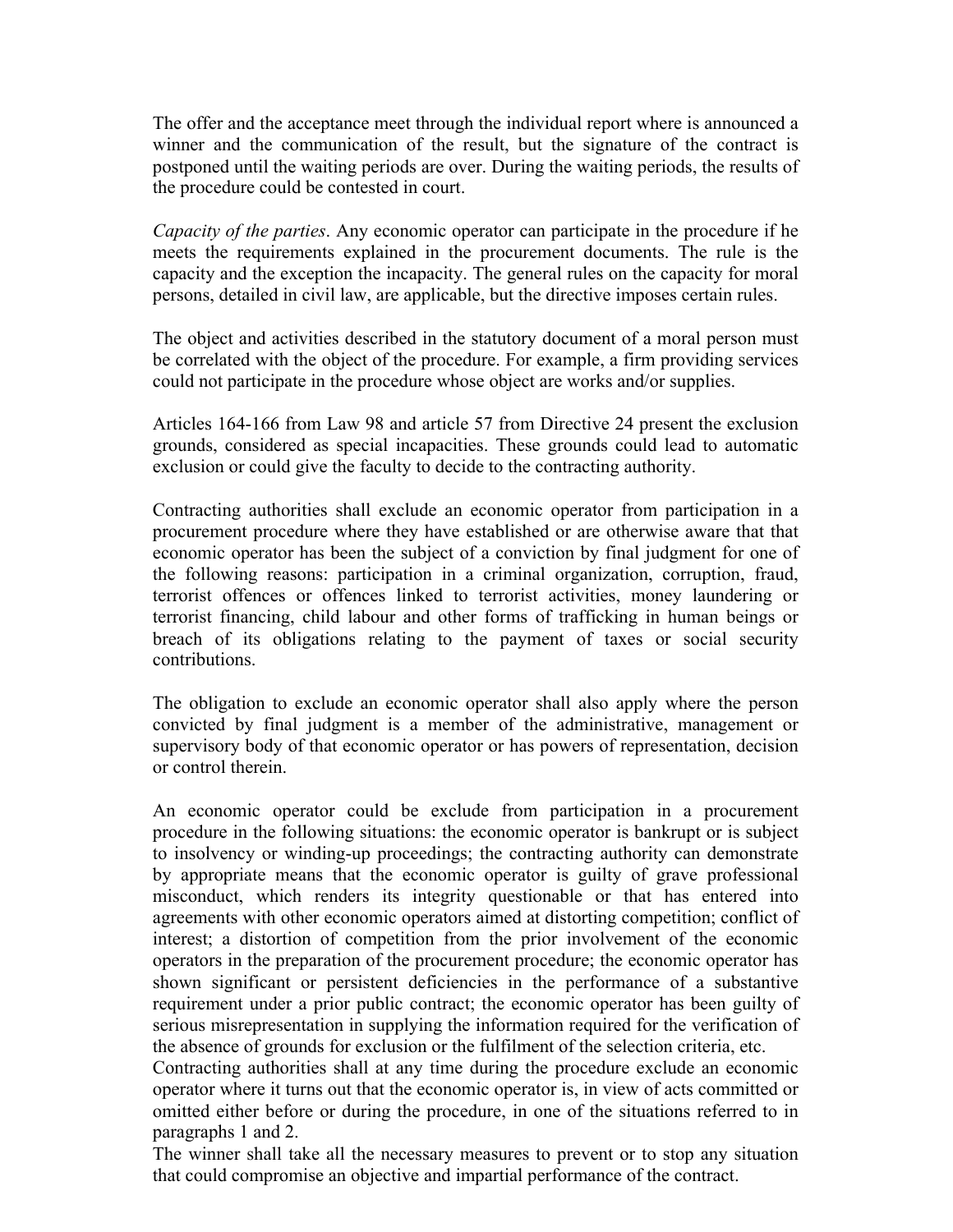The offer and the acceptance meet through the individual report where is announced a winner and the communication of the result, but the signature of the contract is postponed until the waiting periods are over. During the waiting periods, the results of the procedure could be contested in court.

*Capacity of the parties*. Any economic operator can participate in the procedure if he meets the requirements explained in the procurement documents. The rule is the capacity and the exception the incapacity. The general rules on the capacity for moral persons, detailed in civil law, are applicable, but the directive imposes certain rules.

The object and activities described in the statutory document of a moral person must be correlated with the object of the procedure. For example, a firm providing services could not participate in the procedure whose object are works and/or supplies.

Articles 164-166 from Law 98 and article 57 from Directive 24 present the exclusion grounds, considered as special incapacities. These grounds could lead to automatic exclusion or could give the faculty to decide to the contracting authority.

Contracting authorities shall exclude an economic operator from participation in a procurement procedure where they have established or are otherwise aware that that economic operator has been the subject of a conviction by final judgment for one of the following reasons: participation in a criminal organization, corruption, fraud, terrorist offences or offences linked to terrorist activities, money laundering or terrorist financing, child labour and other forms of trafficking in human beings or breach of its obligations relating to the payment of taxes or social security contributions.

The obligation to exclude an economic operator shall also apply where the person convicted by final judgment is a member of the administrative, management or supervisory body of that economic operator or has powers of representation, decision or control therein.

An economic operator could be exclude from participation in a procurement procedure in the following situations: the economic operator is bankrupt or is subject to insolvency or winding-up proceedings; the contracting authority can demonstrate by appropriate means that the economic operator is guilty of grave professional misconduct, which renders its integrity questionable or that has entered into agreements with other economic operators aimed at distorting competition; conflict of interest; a distortion of competition from the prior involvement of the economic operators in the preparation of the procurement procedure; the economic operator has shown significant or persistent deficiencies in the performance of a substantive requirement under a prior public contract; the economic operator has been guilty of serious misrepresentation in supplying the information required for the verification of the absence of grounds for exclusion or the fulfilment of the selection criteria, etc.

Contracting authorities shall at any time during the procedure exclude an economic operator where it turns out that the economic operator is, in view of acts committed or omitted either before or during the procedure, in one of the situations referred to in paragraphs 1 and 2.

The winner shall take all the necessary measures to prevent or to stop any situation that could compromise an objective and impartial performance of the contract.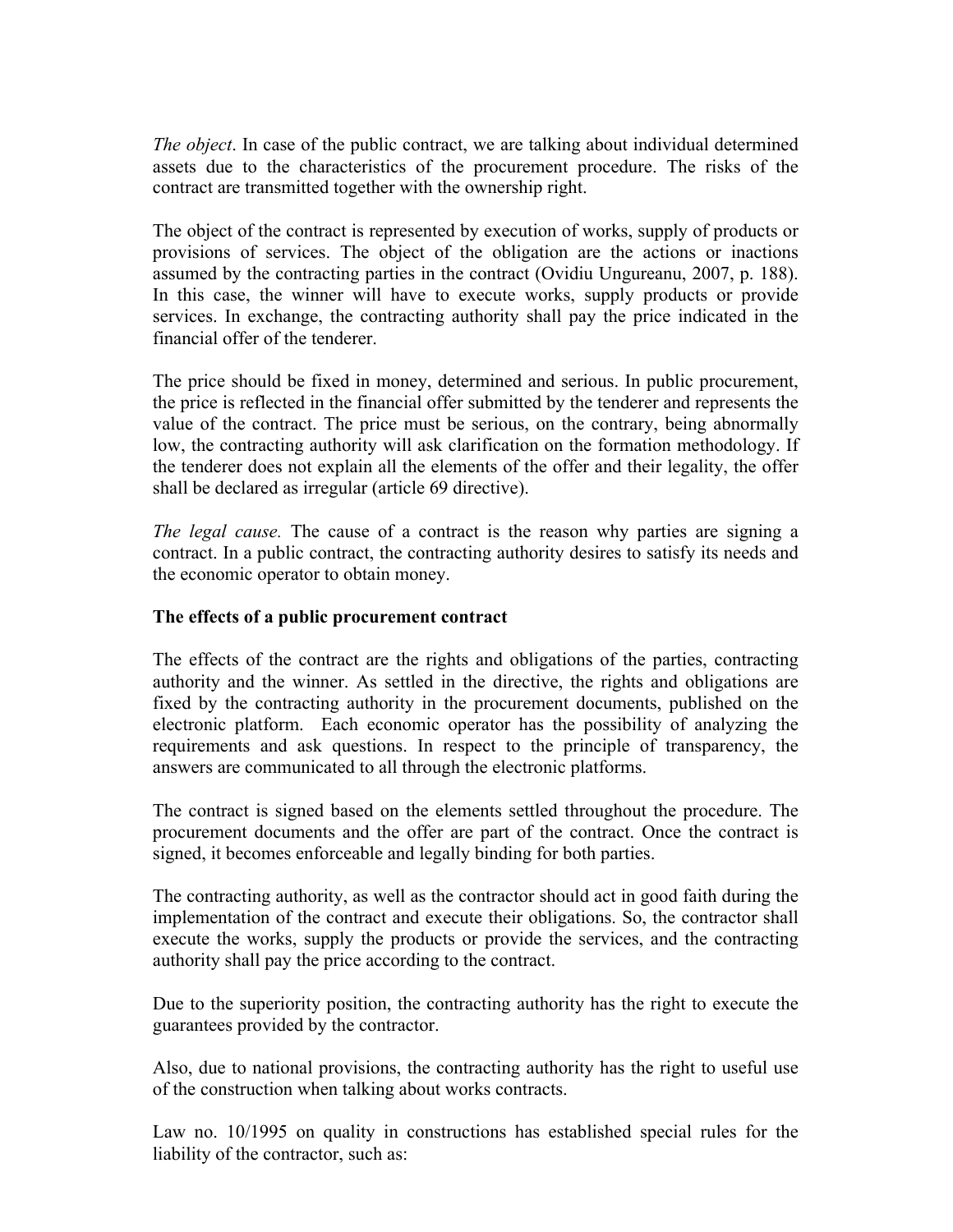*The object*. In case of the public contract, we are talking about individual determined assets due to the characteristics of the procurement procedure. The risks of the contract are transmitted together with the ownership right.

The object of the contract is represented by execution of works, supply of products or provisions of services. The object of the obligation are the actions or inactions assumed by the contracting parties in the contract (Ovidiu Ungureanu, 2007, p. 188). In this case, the winner will have to execute works, supply products or provide services. In exchange, the contracting authority shall pay the price indicated in the financial offer of the tenderer.

The price should be fixed in money, determined and serious. In public procurement, the price is reflected in the financial offer submitted by the tenderer and represents the value of the contract. The price must be serious, on the contrary, being abnormally low, the contracting authority will ask clarification on the formation methodology. If the tenderer does not explain all the elements of the offer and their legality, the offer shall be declared as irregular (article 69 directive).

*The legal cause.* The cause of a contract is the reason why parties are signing a contract. In a public contract, the contracting authority desires to satisfy its needs and the economic operator to obtain money.

### **The effects of a public procurement contract**

The effects of the contract are the rights and obligations of the parties, contracting authority and the winner. As settled in the directive, the rights and obligations are fixed by the contracting authority in the procurement documents, published on the electronic platform. Each economic operator has the possibility of analyzing the requirements and ask questions. In respect to the principle of transparency, the answers are communicated to all through the electronic platforms.

The contract is signed based on the elements settled throughout the procedure. The procurement documents and the offer are part of the contract. Once the contract is signed, it becomes enforceable and legally binding for both parties.

The contracting authority, as well as the contractor should act in good faith during the implementation of the contract and execute their obligations. So, the contractor shall execute the works, supply the products or provide the services, and the contracting authority shall pay the price according to the contract.

Due to the superiority position, the contracting authority has the right to execute the guarantees provided by the contractor.

Also, due to national provisions, the contracting authority has the right to useful use of the construction when talking about works contracts.

Law no. 10/1995 on quality in constructions has established special rules for the liability of the contractor, such as: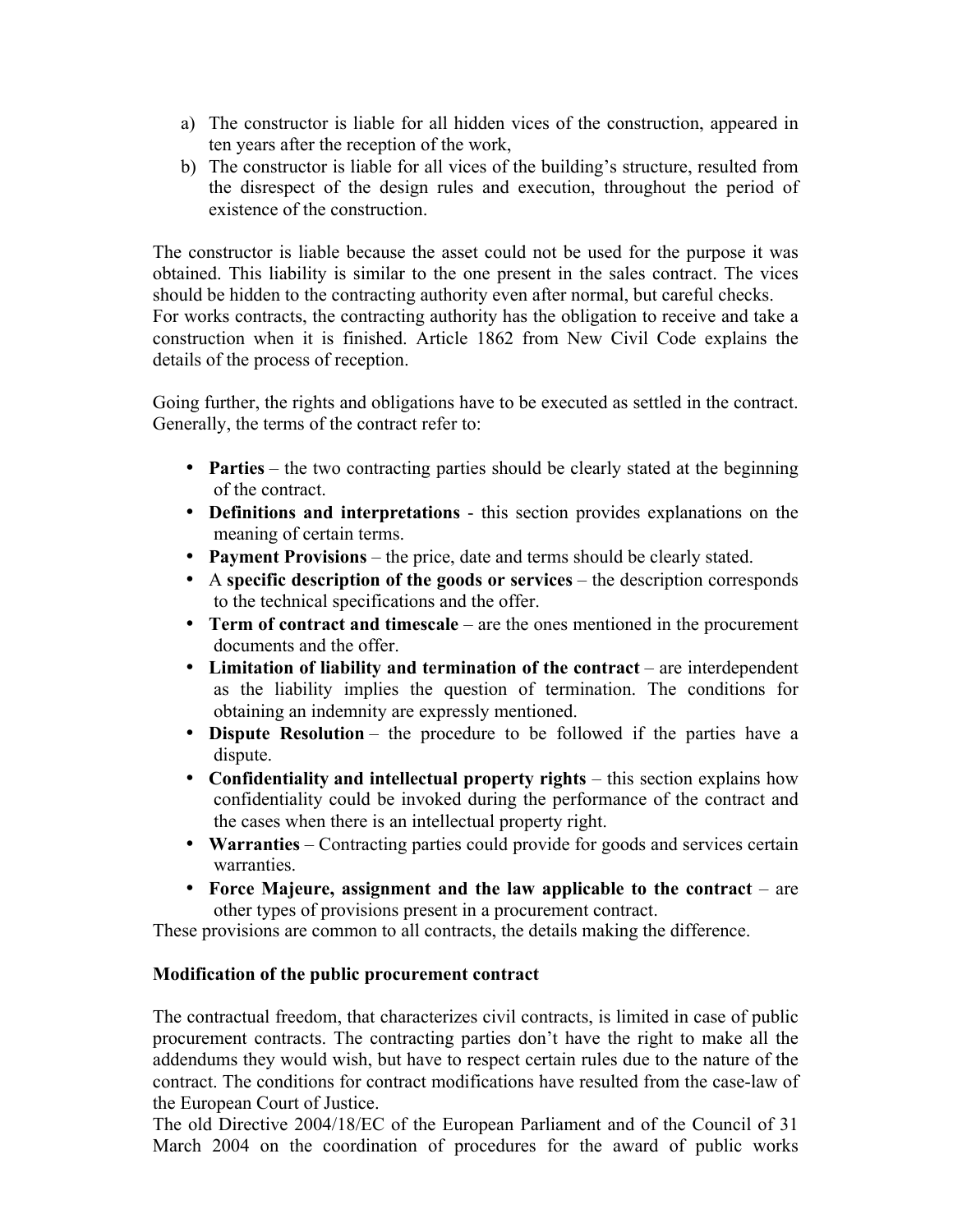- a) The constructor is liable for all hidden vices of the construction, appeared in ten years after the reception of the work,
- b) The constructor is liable for all vices of the building's structure, resulted from the disrespect of the design rules and execution, throughout the period of existence of the construction.

The constructor is liable because the asset could not be used for the purpose it was obtained. This liability is similar to the one present in the sales contract. The vices should be hidden to the contracting authority even after normal, but careful checks. For works contracts, the contracting authority has the obligation to receive and take a construction when it is finished. Article 1862 from New Civil Code explains the details of the process of reception.

Going further, the rights and obligations have to be executed as settled in the contract. Generally, the terms of the contract refer to:

- **Parties** the two contracting parties should be clearly stated at the beginning of the contract.
- **Definitions and interpretations**  this section provides explanations on the meaning of certain terms.
- **Payment Provisions** the price, date and terms should be clearly stated.
- A **specific description of the goods or services** the description corresponds to the technical specifications and the offer.
- **Term of contract and timescale** are the ones mentioned in the procurement documents and the offer.
- **Limitation of liability and termination of the contract** are interdependent as the liability implies the question of termination. The conditions for obtaining an indemnity are expressly mentioned.
- **Dispute Resolution** the procedure to be followed if the parties have a dispute.
- **Confidentiality and intellectual property rights** this section explains how confidentiality could be invoked during the performance of the contract and the cases when there is an intellectual property right.
- **Warranties** Contracting parties could provide for goods and services certain warranties.
- Force Majeure, assignment and the law applicable to the contract are other types of provisions present in a procurement contract.

These provisions are common to all contracts, the details making the difference.

# **Modification of the public procurement contract**

The contractual freedom, that characterizes civil contracts, is limited in case of public procurement contracts. The contracting parties don't have the right to make all the addendums they would wish, but have to respect certain rules due to the nature of the contract. The conditions for contract modifications have resulted from the case-law of the European Court of Justice.

The old Directive 2004/18/EC of the European Parliament and of the Council of 31 March 2004 on the coordination of procedures for the award of public works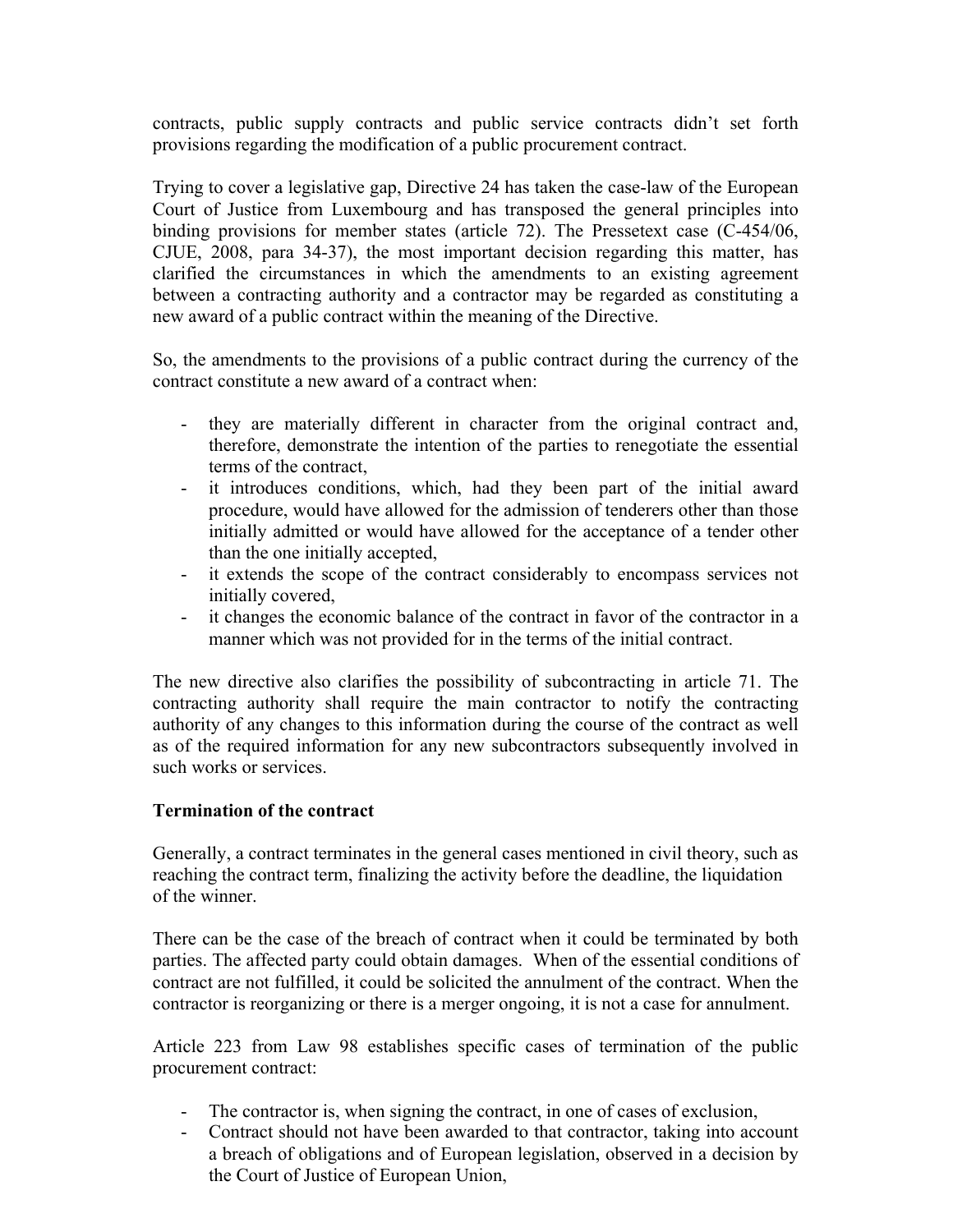contracts, public supply contracts and public service contracts didn't set forth provisions regarding the modification of a public procurement contract.

Trying to cover a legislative gap, Directive 24 has taken the case-law of the European Court of Justice from Luxembourg and has transposed the general principles into binding provisions for member states (article 72). The Pressetext case (C-454/06, CJUE, 2008, para 34-37), the most important decision regarding this matter, has clarified the circumstances in which the amendments to an existing agreement between a contracting authority and a contractor may be regarded as constituting a new award of a public contract within the meaning of the Directive.

So, the amendments to the provisions of a public contract during the currency of the contract constitute a new award of a contract when:

- they are materially different in character from the original contract and, therefore, demonstrate the intention of the parties to renegotiate the essential terms of the contract,
- it introduces conditions, which, had they been part of the initial award procedure, would have allowed for the admission of tenderers other than those initially admitted or would have allowed for the acceptance of a tender other than the one initially accepted,
- it extends the scope of the contract considerably to encompass services not initially covered,
- it changes the economic balance of the contract in favor of the contractor in a manner which was not provided for in the terms of the initial contract.

The new directive also clarifies the possibility of subcontracting in article 71. The contracting authority shall require the main contractor to notify the contracting authority of any changes to this information during the course of the contract as well as of the required information for any new subcontractors subsequently involved in such works or services.

### **Termination of the contract**

Generally, a contract terminates in the general cases mentioned in civil theory, such as reaching the contract term, finalizing the activity before the deadline, the liquidation of the winner.

There can be the case of the breach of contract when it could be terminated by both parties. The affected party could obtain damages. When of the essential conditions of contract are not fulfilled, it could be solicited the annulment of the contract. When the contractor is reorganizing or there is a merger ongoing, it is not a case for annulment.

Article 223 from Law 98 establishes specific cases of termination of the public procurement contract:

- The contractor is, when signing the contract, in one of cases of exclusion,
- Contract should not have been awarded to that contractor, taking into account a breach of obligations and of European legislation, observed in a decision by the Court of Justice of European Union,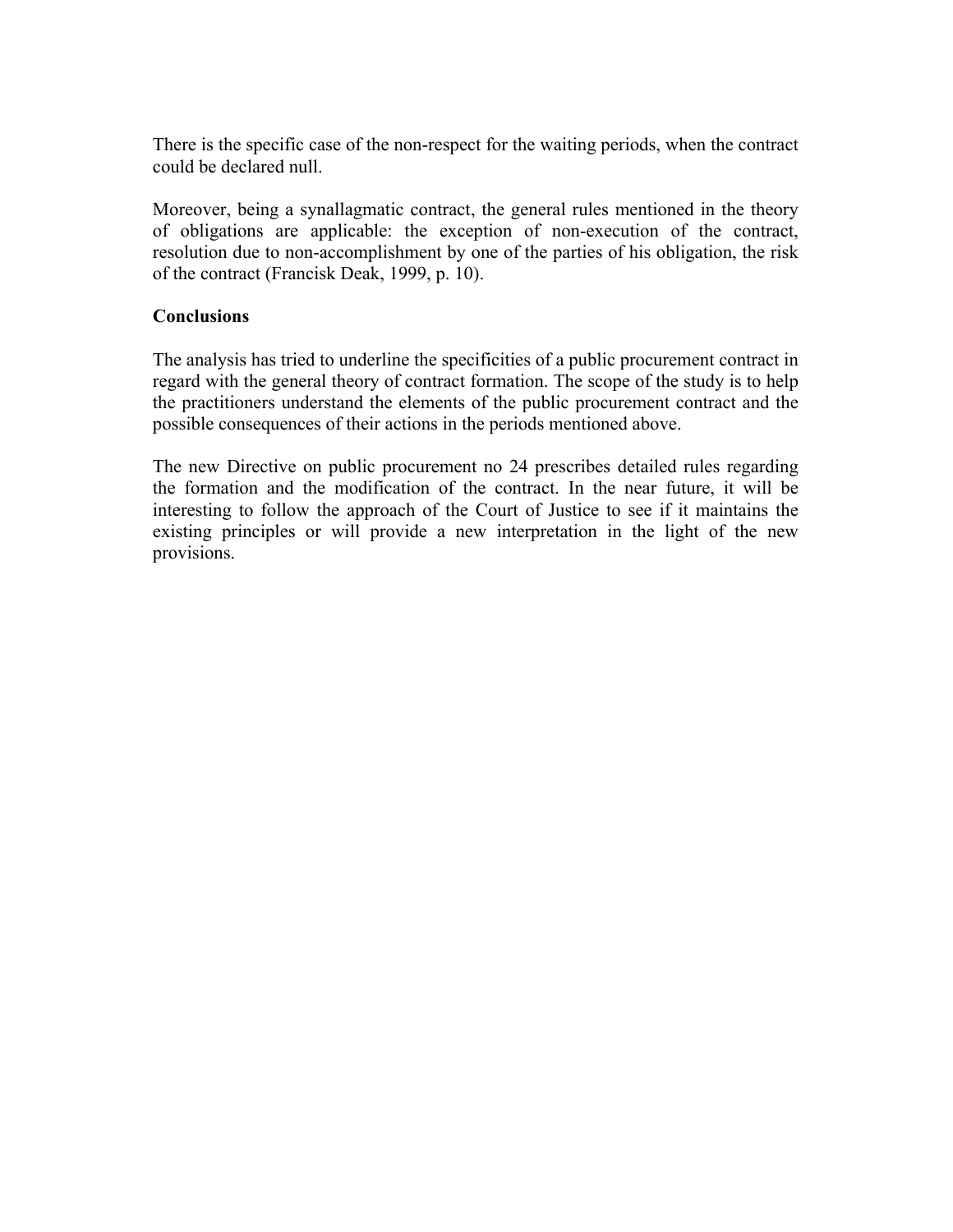There is the specific case of the non-respect for the waiting periods, when the contract could be declared null.

Moreover, being a synallagmatic contract, the general rules mentioned in the theory of obligations are applicable: the exception of non-execution of the contract, resolution due to non-accomplishment by one of the parties of his obligation, the risk of the contract (Francisk Deak, 1999, p. 10).

# **Conclusions**

The analysis has tried to underline the specificities of a public procurement contract in regard with the general theory of contract formation. The scope of the study is to help the practitioners understand the elements of the public procurement contract and the possible consequences of their actions in the periods mentioned above.

The new Directive on public procurement no 24 prescribes detailed rules regarding the formation and the modification of the contract. In the near future, it will be interesting to follow the approach of the Court of Justice to see if it maintains the existing principles or will provide a new interpretation in the light of the new provisions.